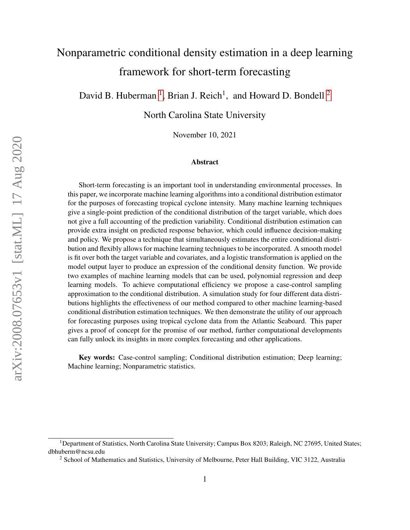# Nonparametric conditional density estimation in a deep learning framework for short-term forecasting

David B. Huberman<sup>[1](#page-0-0)</sup>, Brian J. Reich<sup>1</sup>, and Howard D. Bondell<sup>[2](#page-0-1)</sup>

North Carolina State University

November 10, 2021

#### Abstract

Short-term forecasting is an important tool in understanding environmental processes. In this paper, we incorporate machine learning algorithms into a conditional distribution estimator for the purposes of forecasting tropical cyclone intensity. Many machine learning techniques give a single-point prediction of the conditional distribution of the target variable, which does not give a full accounting of the prediction variability. Conditional distribution estimation can provide extra insight on predicted response behavior, which could influence decision-making and policy. We propose a technique that simultaneously estimates the entire conditional distribution and flexibly allows for machine learning techniques to be incorporated. A smooth model is fit over both the target variable and covariates, and a logistic transformation is applied on the model output layer to produce an expression of the conditional density function. We provide two examples of machine learning models that can be used, polynomial regression and deep learning models. To achieve computational efficiency we propose a case-control sampling approximation to the conditional distribution. A simulation study for four different data distributions highlights the effectiveness of our method compared to other machine learning-based conditional distribution estimation techniques. We then demonstrate the utility of our approach for forecasting purposes using tropical cyclone data from the Atlantic Seaboard. This paper gives a proof of concept for the promise of our method, further computational developments can fully unlock its insights in more complex forecasting and other applications.

Key words: Case-control sampling; Conditional distribution estimation; Deep learning; Machine learning; Nonparametric statistics.

<span id="page-0-0"></span><sup>1</sup>Department of Statistics, North Carolina State University; Campus Box 8203; Raleigh, NC 27695, United States; dbhuberm@ncsu.edu

<span id="page-0-1"></span><sup>2</sup> School of Mathematics and Statistics, University of Melbourne, Peter Hall Building, VIC 3122, Australia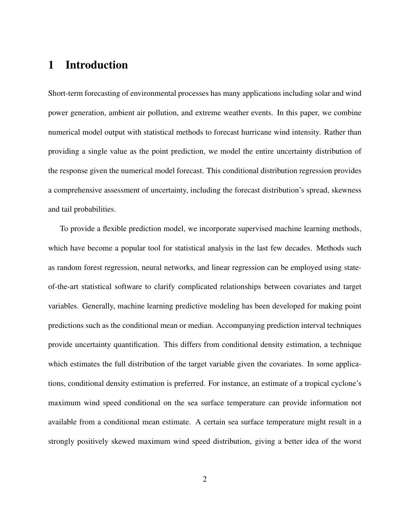# 1 Introduction

Short-term forecasting of environmental processes has many applications including solar and wind power generation, ambient air pollution, and extreme weather events. In this paper, we combine numerical model output with statistical methods to forecast hurricane wind intensity. Rather than providing a single value as the point prediction, we model the entire uncertainty distribution of the response given the numerical model forecast. This conditional distribution regression provides a comprehensive assessment of uncertainty, including the forecast distribution's spread, skewness and tail probabilities.

To provide a flexible prediction model, we incorporate supervised machine learning methods, which have become a popular tool for statistical analysis in the last few decades. Methods such as random forest regression, neural networks, and linear regression can be employed using stateof-the-art statistical software to clarify complicated relationships between covariates and target variables. Generally, machine learning predictive modeling has been developed for making point predictions such as the conditional mean or median. Accompanying prediction interval techniques provide uncertainty quantification. This differs from conditional density estimation, a technique which estimates the full distribution of the target variable given the covariates. In some applications, conditional density estimation is preferred. For instance, an estimate of a tropical cyclone's maximum wind speed conditional on the sea surface temperature can provide information not available from a conditional mean estimate. A certain sea surface temperature might result in a strongly positively skewed maximum wind speed distribution, giving a better idea of the worst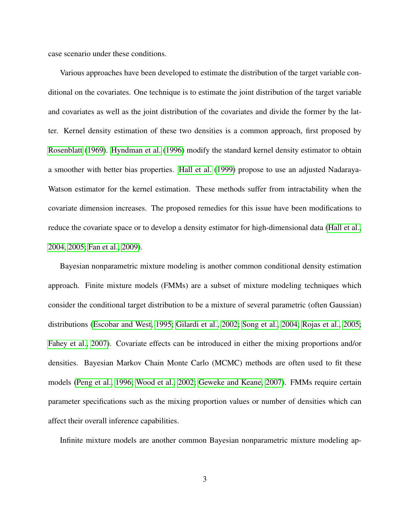case scenario under these conditions.

Various approaches have been developed to estimate the distribution of the target variable conditional on the covariates. One technique is to estimate the joint distribution of the target variable and covariates as well as the joint distribution of the covariates and divide the former by the latter. Kernel density estimation of these two densities is a common approach, first proposed by [Rosenblatt](#page-42-0) [\(1969\)](#page-42-0). [Hyndman et al.](#page-39-0) [\(1996\)](#page-39-0) modify the standard kernel density estimator to obtain a smoother with better bias properties. [Hall et al.](#page-39-1) [\(1999\)](#page-39-1) propose to use an adjusted Nadaraya-Watson estimator for the kernel estimation. These methods suffer from intractability when the covariate dimension increases. The proposed remedies for this issue have been modifications to reduce the covariate space or to develop a density estimator for high-dimensional data [\(Hall et al.,](#page-39-2) [2004,](#page-39-2) [2005;](#page-39-3) [Fan et al., 2009\)](#page-38-0).

Bayesian nonparametric mixture modeling is another common conditional density estimation approach. Finite mixture models (FMMs) are a subset of mixture modeling techniques which consider the conditional target distribution to be a mixture of several parametric (often Gaussian) distributions [\(Escobar and West, 1995;](#page-37-0) [Gilardi et al., 2002;](#page-38-1) [Song et al., 2004;](#page-42-1) [Rojas et al., 2005;](#page-41-0) [Fahey et al., 2007\)](#page-37-1). Covariate effects can be introduced in either the mixing proportions and/or densities. Bayesian Markov Chain Monte Carlo (MCMC) methods are often used to fit these models [\(Peng et al., 1996;](#page-41-1) [Wood et al., 2002;](#page-43-0) [Geweke and Keane, 2007\)](#page-38-2). FMMs require certain parameter specifications such as the mixing proportion values or number of densities which can affect their overall inference capabilities.

Infinite mixture models are another common Bayesian nonparametric mixture modeling ap-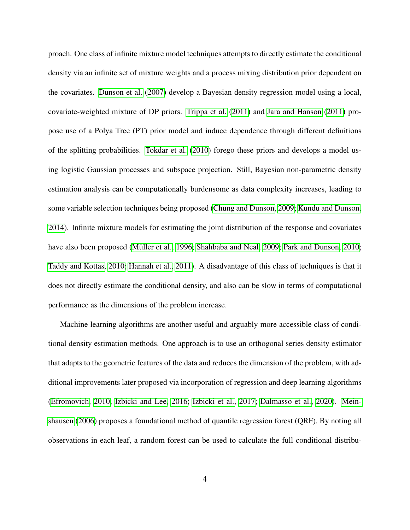proach. One class of infinite mixture model techniques attempts to directly estimate the conditional density via an infinite set of mixture weights and a process mixing distribution prior dependent on the covariates. [Dunson et al.](#page-37-2) [\(2007\)](#page-37-2) develop a Bayesian density regression model using a local, covariate-weighted mixture of DP priors. [Trippa et al.](#page-42-2) [\(2011\)](#page-42-2) and [Jara and Hanson](#page-40-0) [\(2011\)](#page-40-0) propose use of a Polya Tree (PT) prior model and induce dependence through different definitions of the splitting probabilities. [Tokdar et al.](#page-42-3) [\(2010\)](#page-42-3) forego these priors and develops a model using logistic Gaussian processes and subspace projection. Still, Bayesian non-parametric density estimation analysis can be computationally burdensome as data complexity increases, leading to some variable selection techniques being proposed [\(Chung and Dunson, 2009;](#page-37-3) [Kundu and Dunson,](#page-40-1) [2014\)](#page-40-1). Infinite mixture models for estimating the joint distribution of the response and covariates have also been proposed (Müller et al., 1996; [Shahbaba and Neal, 2009;](#page-42-4) [Park and Dunson, 2010;](#page-41-3) [Taddy and Kottas, 2010;](#page-42-5) [Hannah et al., 2011\)](#page-39-4). A disadvantage of this class of techniques is that it does not directly estimate the conditional density, and also can be slow in terms of computational performance as the dimensions of the problem increase.

Machine learning algorithms are another useful and arguably more accessible class of conditional density estimation methods. One approach is to use an orthogonal series density estimator that adapts to the geometric features of the data and reduces the dimension of the problem, with additional improvements later proposed via incorporation of regression and deep learning algorithms [\(Efromovich, 2010;](#page-37-4) [Izbicki and Lee, 2016;](#page-40-2) [Izbicki et al., 2017;](#page-40-3) [Dalmasso et al., 2020\)](#page-37-5). [Mein](#page-41-4)[shausen](#page-41-4) [\(2006\)](#page-41-4) proposes a foundational method of quantile regression forest (QRF). By noting all observations in each leaf, a random forest can be used to calculate the full conditional distribu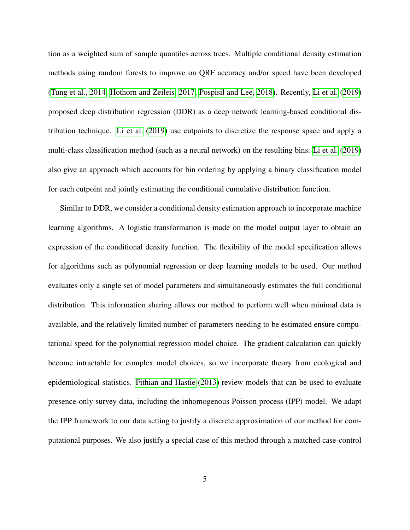tion as a weighted sum of sample quantiles across trees. Multiple conditional density estimation methods using random forests to improve on QRF accuracy and/or speed have been developed [\(Tung et al., 2014;](#page-42-6) [Hothorn and Zeileis, 2017;](#page-39-5) [Pospisil and Lee, 2018\)](#page-41-5). Recently, [Li et al.](#page-41-6) [\(2019\)](#page-41-6) proposed deep distribution regression (DDR) as a deep network learning-based conditional distribution technique. [Li et al.](#page-41-6) [\(2019\)](#page-41-6) use cutpoints to discretize the response space and apply a multi-class classification method (such as a neural network) on the resulting bins. [Li et al.](#page-41-6) [\(2019\)](#page-41-6) also give an approach which accounts for bin ordering by applying a binary classification model for each cutpoint and jointly estimating the conditional cumulative distribution function.

Similar to DDR, we consider a conditional density estimation approach to incorporate machine learning algorithms. A logistic transformation is made on the model output layer to obtain an expression of the conditional density function. The flexibility of the model specification allows for algorithms such as polynomial regression or deep learning models to be used. Our method evaluates only a single set of model parameters and simultaneously estimates the full conditional distribution. This information sharing allows our method to perform well when minimal data is available, and the relatively limited number of parameters needing to be estimated ensure computational speed for the polynomial regression model choice. The gradient calculation can quickly become intractable for complex model choices, so we incorporate theory from ecological and epidemiological statistics. [Fithian and Hastie](#page-38-3) [\(2013\)](#page-38-3) review models that can be used to evaluate presence-only survey data, including the inhomogenous Poisson process (IPP) model. We adapt the IPP framework to our data setting to justify a discrete approximation of our method for computational purposes. We also justify a special case of this method through a matched case-control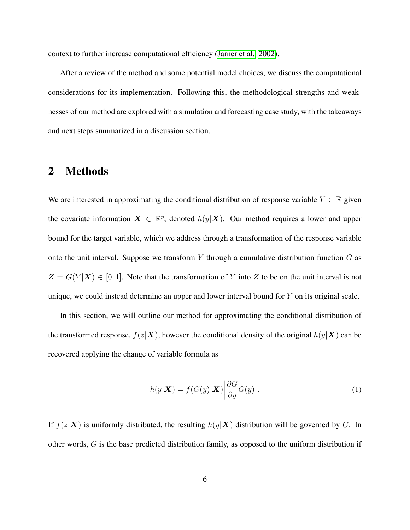context to further increase computational efficiency [\(Jarner et al., 2002\)](#page-40-4).

After a review of the method and some potential model choices, we discuss the computational considerations for its implementation. Following this, the methodological strengths and weaknesses of our method are explored with a simulation and forecasting case study, with the takeaways and next steps summarized in a discussion section.

#### 2 Methods

We are interested in approximating the conditional distribution of response variable  $Y \in \mathbb{R}$  given the covariate information  $X \in \mathbb{R}^p$ , denoted  $h(y|\mathbf{X})$ . Our method requires a lower and upper bound for the target variable, which we address through a transformation of the response variable onto the unit interval. Suppose we transform  $Y$  through a cumulative distribution function  $G$  as  $Z = G(Y|\mathbf{X}) \in [0,1]$ . Note that the transformation of Y into Z to be on the unit interval is not unique, we could instead determine an upper and lower interval bound for Y on its original scale.

In this section, we will outline our method for approximating the conditional distribution of the transformed response,  $f(z|\mathbf{X})$ , however the conditional density of the original  $h(y|\mathbf{X})$  can be recovered applying the change of variable formula as

<span id="page-5-0"></span>
$$
h(y|\boldsymbol{X}) = f(G(y)|\boldsymbol{X}) \left| \frac{\partial G}{\partial y} G(y) \right|.
$$
 (1)

If  $f(z|\mathbf{X})$  is uniformly distributed, the resulting  $h(y|\mathbf{X})$  distribution will be governed by G. In other words, G is the base predicted distribution family, as opposed to the uniform distribution if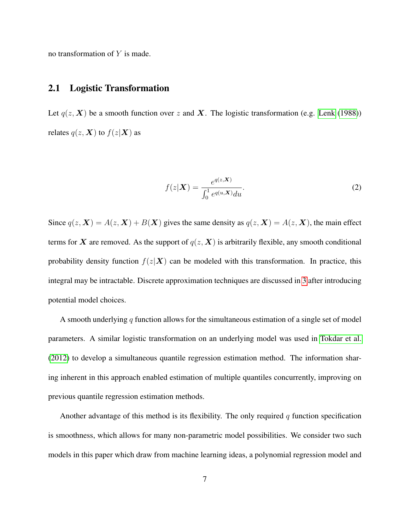no transformation of  $Y$  is made.

#### 2.1 Logistic Transformation

Let  $q(z, X)$  be a smooth function over z and X. The logistic transformation (e.g. [Lenk](#page-41-7) [\(1988\)](#page-41-7)) relates  $q(z, X)$  to  $f(z|X)$  as

<span id="page-6-0"></span>
$$
f(z|\boldsymbol{X}) = \frac{e^{q(z,\boldsymbol{X})}}{\int_0^1 e^{q(u,\boldsymbol{X})} du}.
$$
 (2)

Since  $q(z, X) = A(z, X) + B(X)$  gives the same density as  $q(z, X) = A(z, X)$ , the main effect terms for X are removed. As the support of  $q(z, X)$  is arbitrarily flexible, any smooth conditional probability density function  $f(z|\mathbf{X})$  can be modeled with this transformation. In practice, this integral may be intractable. Discrete approximation techniques are discussed in [3](#page-8-0) after introducing potential model choices.

A smooth underlying q function allows for the simultaneous estimation of a single set of model parameters. A similar logistic transformation on an underlying model was used in [Tokdar et al.](#page-42-7) [\(2012\)](#page-42-7) to develop a simultaneous quantile regression estimation method. The information sharing inherent in this approach enabled estimation of multiple quantiles concurrently, improving on previous quantile regression estimation methods.

Another advantage of this method is its flexibility. The only required  $q$  function specification is smoothness, which allows for many non-parametric model possibilities. We consider two such models in this paper which draw from machine learning ideas, a polynomial regression model and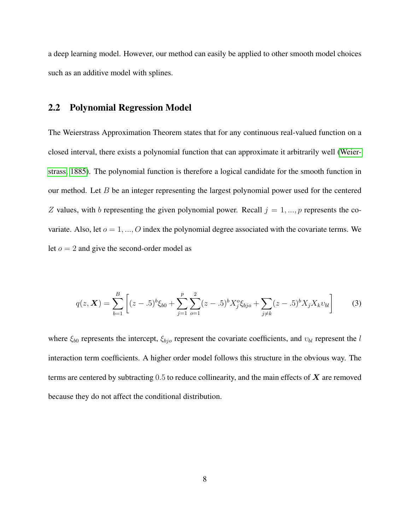a deep learning model. However, our method can easily be applied to other smooth model choices such as an additive model with splines.

#### 2.2 Polynomial Regression Model

The Weierstrass Approximation Theorem states that for any continuous real-valued function on a closed interval, there exists a polynomial function that can approximate it arbitrarily well [\(Weier](#page-42-8)[strass, 1885\)](#page-42-8). The polynomial function is therefore a logical candidate for the smooth function in our method. Let  $B$  be an integer representing the largest polynomial power used for the centered Z values, with b representing the given polynomial power. Recall  $j = 1, ..., p$  represents the covariate. Also, let  $o = 1, ..., O$  index the polynomial degree associated with the covariate terms. We let  $o = 2$  and give the second-order model as

<span id="page-7-0"></span>
$$
q(z, \mathbf{X}) = \sum_{b=1}^{B} \left[ (z - .5)^b \xi_{b0} + \sum_{j=1}^{p} \sum_{o=1}^{2} (z - .5)^b X_j^o \xi_{bjo} + \sum_{j \neq k} (z - .5)^b X_j X_k v_{bl} \right]
$$
(3)

where  $\xi_{b0}$  represents the intercept,  $\xi_{bio}$  represent the covariate coefficients, and  $v_{bl}$  represent the l interaction term coefficients. A higher order model follows this structure in the obvious way. The terms are centered by subtracting  $0.5$  to reduce collinearity, and the main effects of  $\boldsymbol{X}$  are removed because they do not affect the conditional distribution.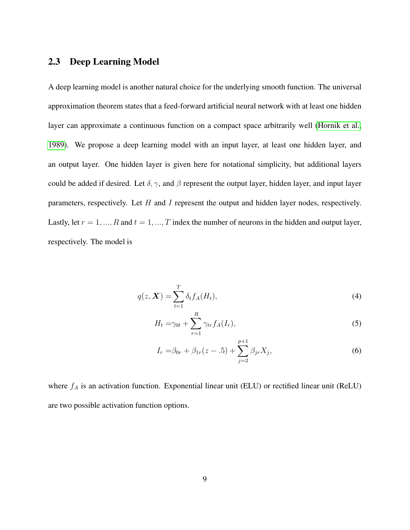#### 2.3 Deep Learning Model

A deep learning model is another natural choice for the underlying smooth function. The universal approximation theorem states that a feed-forward artificial neural network with at least one hidden layer can approximate a continuous function on a compact space arbitrarily well [\(Hornik et al.,](#page-39-6) [1989\)](#page-39-6). We propose a deep learning model with an input layer, at least one hidden layer, and an output layer. One hidden layer is given here for notational simplicity, but additional layers could be added if desired. Let  $\delta$ ,  $\gamma$ , and  $\beta$  represent the output layer, hidden layer, and input layer parameters, respectively. Let  $H$  and  $I$  represent the output and hidden layer nodes, respectively. Lastly, let  $r = 1, ..., R$  and  $t = 1, ..., T$  index the number of neurons in the hidden and output layer, respectively. The model is

$$
q(z, \boldsymbol{X}) = \sum_{t=1}^{T} \delta_t f_A(H_t), \tag{4}
$$

$$
H_t = \gamma_{0t} + \sum_{r=1}^R \gamma_{tr} f_A(I_r), \qquad (5)
$$

$$
I_r = \beta_{0r} + \beta_{1r}(z-.5) + \sum_{j=2}^{p+1} \beta_{jr} X_j,
$$
\n(6)

<span id="page-8-0"></span>where  $f_A$  is an activation function. Exponential linear unit (ELU) or rectified linear unit (ReLU) are two possible activation function options.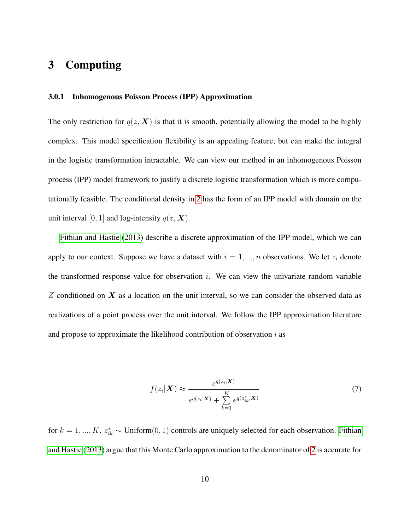# 3 Computing

#### 3.0.1 Inhomogenous Poisson Process (IPP) Approximation

The only restriction for  $q(z, X)$  is that it is smooth, potentially allowing the model to be highly complex. This model specification flexibility is an appealing feature, but can make the integral in the logistic transformation intractable. We can view our method in an inhomogenous Poisson process (IPP) model framework to justify a discrete logistic transformation which is more computationally feasible. The conditional density in [2](#page-6-0) has the form of an IPP model with domain on the unit interval [0, 1] and log-intensity  $q(z, X)$ .

[Fithian and Hastie](#page-38-3) [\(2013\)](#page-38-3) describe a discrete approximation of the IPP model, which we can apply to our context. Suppose we have a dataset with  $i = 1, ..., n$  observations. We let  $z_i$  denote the transformed response value for observation  $i$ . We can view the univariate random variable  $Z$  conditioned on  $X$  as a location on the unit interval, so we can consider the observed data as realizations of a point process over the unit interval. We follow the IPP approximation literature and propose to approximate the likelihood contribution of observation  $i$  as

<span id="page-9-0"></span>
$$
f(z_i|\mathbf{X}) \approx \frac{e^{q(z_i, \mathbf{X})}}{e^{q(z_i, \mathbf{X})} + \sum_{k=1}^{K} e^{q(z_{ik}^*, \mathbf{X})}}
$$
(7)

for  $k = 1, ..., K$ .  $z_{ik}^* \sim \text{Uniform}(0, 1)$  controls are uniquely selected for each observation. [Fithian](#page-38-3) [and Hastie](#page-38-3) [\(2013\)](#page-38-3) argue that this Monte Carlo approximation to the denominator of [2](#page-6-0) is accurate for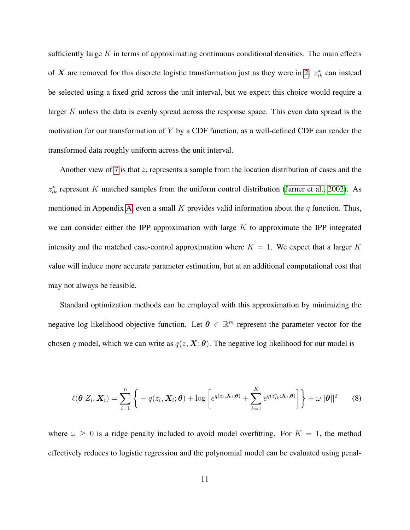sufficiently large  $K$  in terms of approximating continuous conditional densities. The main effects of X are removed for this discrete logistic transformation just as they were in [2.](#page-6-0)  $z_{ik}^*$  can instead be selected using a fixed grid across the unit interval, but we expect this choice would require a larger K unless the data is evenly spread across the response space. This even data spread is the motivation for our transformation of  $Y$  by a CDF function, as a well-defined CDF can render the transformed data roughly uniform across the unit interval.

Another view of [7](#page-9-0) is that  $z_i$  represents a sample from the location distribution of cases and the  $z_{ik}^*$  represent K matched samples from the uniform control distribution [\(Jarner et al., 2002\)](#page-40-4). As mentioned in Appendix [A,](#page-27-0) even a small  $K$  provides valid information about the  $q$  function. Thus, we can consider either the IPP approximation with large  $K$  to approximate the IPP integrated intensity and the matched case-control approximation where  $K = 1$ . We expect that a larger K value will induce more accurate parameter estimation, but at an additional computational cost that may not always be feasible.

Standard optimization methods can be employed with this approximation by minimizing the negative log likelihood objective function. Let  $\theta \in \mathbb{R}^m$  represent the parameter vector for the chosen q model, which we can write as  $q(z, X; \theta)$ . The negative log likelihood for our model is

<span id="page-10-0"></span>
$$
\ell(\boldsymbol{\theta}|Z_i, \boldsymbol{X}_i) = \sum_{i=1}^n \left\{ -q(z_i, \boldsymbol{X}_i; \boldsymbol{\theta}) + \log \left[ e^{q(z_i, \boldsymbol{X}_i; \boldsymbol{\theta})} + \sum_{k=1}^K e^{q(z_{ik}^*, \boldsymbol{X}_i; \boldsymbol{\theta})} \right] \right\} + \omega ||\boldsymbol{\theta}||^2 \qquad (8)
$$

where  $\omega \geq 0$  is a ridge penalty included to avoid model overfitting. For  $K = 1$ , the method effectively reduces to logistic regression and the polynomial model can be evaluated using penal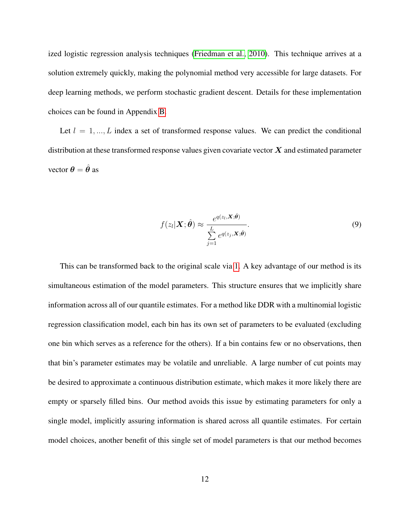ized logistic regression analysis techniques [\(Friedman et al., 2010\)](#page-38-4). This technique arrives at a solution extremely quickly, making the polynomial method very accessible for large datasets. For deep learning methods, we perform stochastic gradient descent. Details for these implementation choices can be found in Appendix [B.](#page-29-0)

Let  $l = 1, ..., L$  index a set of transformed response values. We can predict the conditional distribution at these transformed response values given covariate vector  $X$  and estimated parameter vector  $\theta = \hat{\theta}$  as

$$
f(z_l|\boldsymbol{X};\hat{\boldsymbol{\theta}}) \approx \frac{e^{q(z_l,\boldsymbol{X};\hat{\boldsymbol{\theta}})}}{\sum\limits_{j=1}^L e^{q(z_j,\boldsymbol{X};\hat{\boldsymbol{\theta}})}}.
$$
\n(9)

This can be transformed back to the original scale via [1.](#page-5-0) A key advantage of our method is its simultaneous estimation of the model parameters. This structure ensures that we implicitly share information across all of our quantile estimates. For a method like DDR with a multinomial logistic regression classification model, each bin has its own set of parameters to be evaluated (excluding one bin which serves as a reference for the others). If a bin contains few or no observations, then that bin's parameter estimates may be volatile and unreliable. A large number of cut points may be desired to approximate a continuous distribution estimate, which makes it more likely there are empty or sparsely filled bins. Our method avoids this issue by estimating parameters for only a single model, implicitly assuring information is shared across all quantile estimates. For certain model choices, another benefit of this single set of model parameters is that our method becomes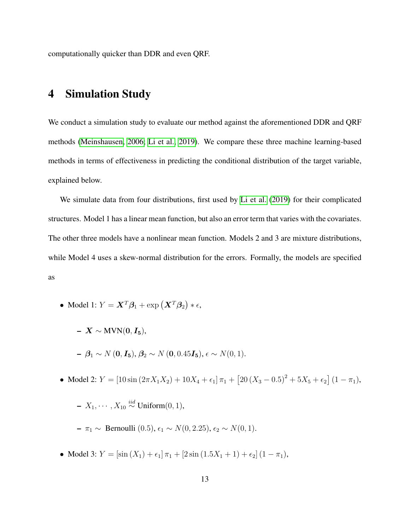computationally quicker than DDR and even QRF.

### 4 Simulation Study

We conduct a simulation study to evaluate our method against the aforementioned DDR and QRF methods [\(Meinshausen, 2006;](#page-41-4) [Li et al., 2019\)](#page-41-6). We compare these three machine learning-based methods in terms of effectiveness in predicting the conditional distribution of the target variable, explained below.

We simulate data from four distributions, first used by [Li et al.](#page-41-6) [\(2019\)](#page-41-6) for their complicated structures. Model 1 has a linear mean function, but also an error term that varies with the covariates. The other three models have a nonlinear mean function. Models 2 and 3 are mixture distributions, while Model 4 uses a skew-normal distribution for the errors. Formally, the models are specified as

- Model 1:  $Y = \mathbf{X}^T \boldsymbol{\beta}_1 + \exp(\mathbf{X}^T \boldsymbol{\beta}_2) * \epsilon$ ,
	- $X \sim \text{MVN}(0, I_5),$  $- \beta_1 \sim N(0, I_5), \beta_2 \sim N(0, 0.45I_5), \epsilon \sim N(0, 1).$
- Model 2:  $Y = [10 \sin (2\pi X_1 X_2) + 10X_4 + \epsilon_1] \pi_1 + [20(X_3 0.5)^2 + 5X_5 + \epsilon_2] (1 \pi_1),$

$$
\text{--} \ X_1, \cdots, X_{10} \stackrel{iid}{\sim} \text{Uniform}(0, 1),
$$

- $\pi_1 \sim$  Bernoulli (0.5),  $\epsilon_1 \sim N(0, 2.25)$ ,  $\epsilon_2 \sim N(0, 1)$ .
- Model 3:  $Y = [\sin(X_1) + \epsilon_1] \pi_1 + [2 \sin(1.5X_1 + 1) + \epsilon_2] (1 \pi_1),$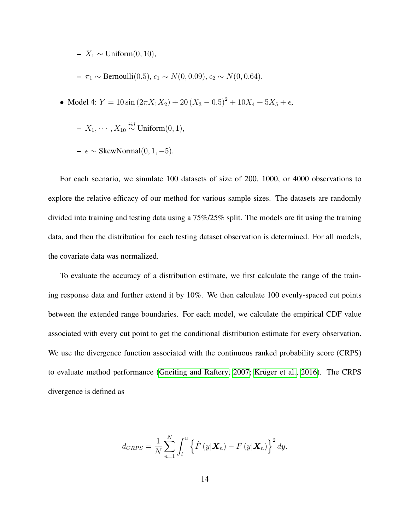– X<sup>1</sup> ∼ Uniform(0, 10),

 $- \pi_1$  ∼ Bernoulli(0.5),  $\epsilon_1$  ∼  $N(0, 0.09)$ ,  $\epsilon_2$  ∼  $N(0, 0.64)$ .

• Model 4: 
$$
Y = 10 \sin(2\pi X_1 X_2) + 20(X_3 - 0.5)^2 + 10X_4 + 5X_5 + \epsilon
$$
,

$$
- X_1, \cdots, X_{10} \stackrel{iid}{\sim} \text{Uniform}(0, 1),
$$

$$
- \epsilon \sim \text{SkewNormal}(0, 1, -5)
$$
.

For each scenario, we simulate 100 datasets of size of 200, 1000, or 4000 observations to explore the relative efficacy of our method for various sample sizes. The datasets are randomly divided into training and testing data using a 75%/25% split. The models are fit using the training data, and then the distribution for each testing dataset observation is determined. For all models, the covariate data was normalized.

To evaluate the accuracy of a distribution estimate, we first calculate the range of the training response data and further extend it by 10%. We then calculate 100 evenly-spaced cut points between the extended range boundaries. For each model, we calculate the empirical CDF value associated with every cut point to get the conditional distribution estimate for every observation. We use the divergence function associated with the continuous ranked probability score (CRPS) to evaluate method performance [\(Gneiting and Raftery, 2007;](#page-39-7) Krüger et al., 2016). The CRPS divergence is defined as

$$
d_{CRPS} = \frac{1}{N} \sum_{n=1}^{N} \int_{l}^{u} \left\{ \hat{F}(y|\boldsymbol{X}_{n}) - F(y|\boldsymbol{X}_{n}) \right\}^{2} dy.
$$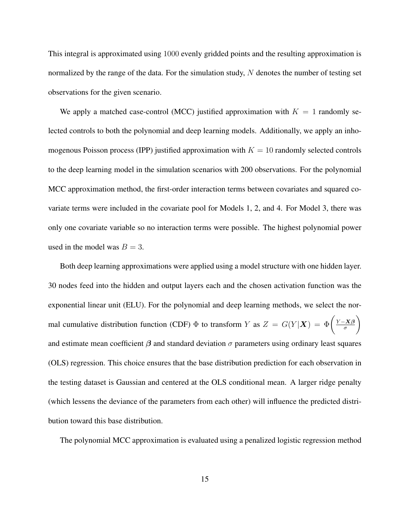This integral is approximated using 1000 evenly gridded points and the resulting approximation is normalized by the range of the data. For the simulation study, N denotes the number of testing set observations for the given scenario.

We apply a matched case-control (MCC) justified approximation with  $K = 1$  randomly selected controls to both the polynomial and deep learning models. Additionally, we apply an inhomogenous Poisson process (IPP) justified approximation with  $K = 10$  randomly selected controls to the deep learning model in the simulation scenarios with 200 observations. For the polynomial MCC approximation method, the first-order interaction terms between covariates and squared covariate terms were included in the covariate pool for Models 1, 2, and 4. For Model 3, there was only one covariate variable so no interaction terms were possible. The highest polynomial power used in the model was  $B = 3$ .

Both deep learning approximations were applied using a model structure with one hidden layer. 30 nodes feed into the hidden and output layers each and the chosen activation function was the exponential linear unit (ELU). For the polynomial and deep learning methods, we select the normal cumulative distribution function (CDF)  $\Phi$  to transform Y as  $Z = G(Y|\mathbf{X}) = \Phi\left(\frac{Y - X\beta}{\sigma}\right)$ σ  $\setminus$ and estimate mean coefficient  $\beta$  and standard deviation  $\sigma$  parameters using ordinary least squares (OLS) regression. This choice ensures that the base distribution prediction for each observation in the testing dataset is Gaussian and centered at the OLS conditional mean. A larger ridge penalty (which lessens the deviance of the parameters from each other) will influence the predicted distribution toward this base distribution.

The polynomial MCC approximation is evaluated using a penalized logistic regression method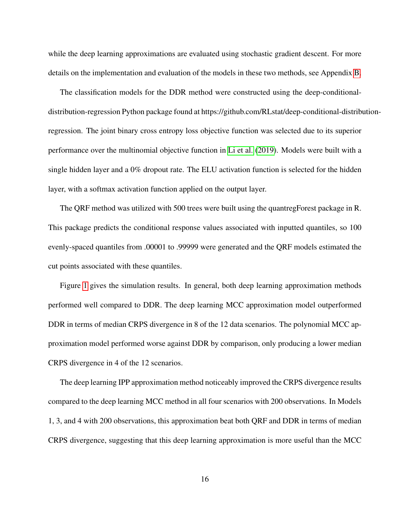while the deep learning approximations are evaluated using stochastic gradient descent. For more details on the implementation and evaluation of the models in these two methods, see Appendix [B.](#page-29-0)

The classification models for the DDR method were constructed using the deep-conditionaldistribution-regression Python package found at https://github.com/RLstat/deep-conditional-distributionregression. The joint binary cross entropy loss objective function was selected due to its superior performance over the multinomial objective function in [Li et al.](#page-41-6) [\(2019\)](#page-41-6). Models were built with a single hidden layer and a 0% dropout rate. The ELU activation function is selected for the hidden layer, with a softmax activation function applied on the output layer.

The QRF method was utilized with 500 trees were built using the quantregForest package in R. This package predicts the conditional response values associated with inputted quantiles, so 100 evenly-spaced quantiles from .00001 to .99999 were generated and the QRF models estimated the cut points associated with these quantiles.

Figure [1](#page-16-0) gives the simulation results. In general, both deep learning approximation methods performed well compared to DDR. The deep learning MCC approximation model outperformed DDR in terms of median CRPS divergence in 8 of the 12 data scenarios. The polynomial MCC approximation model performed worse against DDR by comparison, only producing a lower median CRPS divergence in 4 of the 12 scenarios.

The deep learning IPP approximation method noticeably improved the CRPS divergence results compared to the deep learning MCC method in all four scenarios with 200 observations. In Models 1, 3, and 4 with 200 observations, this approximation beat both QRF and DDR in terms of median CRPS divergence, suggesting that this deep learning approximation is more useful than the MCC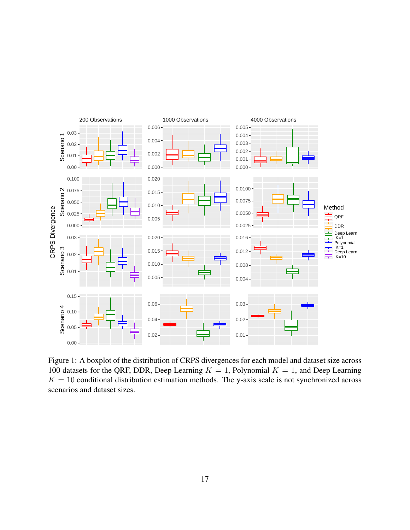<span id="page-16-0"></span>

Figure 1: A boxplot of the distribution of CRPS divergences for each model and dataset size across 100 datasets for the QRF, DDR, Deep Learning  $K = 1$ , Polynomial  $K = 1$ , and Deep Learning  $K = 10$  conditional distribution estimation methods. The y-axis scale is not synchronized across scenarios and dataset sizes.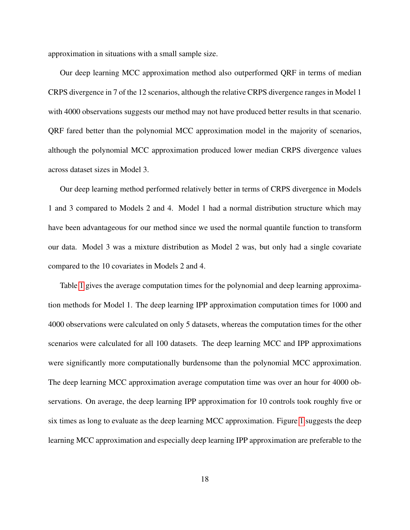approximation in situations with a small sample size.

Our deep learning MCC approximation method also outperformed QRF in terms of median CRPS divergence in 7 of the 12 scenarios, although the relative CRPS divergence ranges in Model 1 with 4000 observations suggests our method may not have produced better results in that scenario. QRF fared better than the polynomial MCC approximation model in the majority of scenarios, although the polynomial MCC approximation produced lower median CRPS divergence values across dataset sizes in Model 3.

Our deep learning method performed relatively better in terms of CRPS divergence in Models 1 and 3 compared to Models 2 and 4. Model 1 had a normal distribution structure which may have been advantageous for our method since we used the normal quantile function to transform our data. Model 3 was a mixture distribution as Model 2 was, but only had a single covariate compared to the 10 covariates in Models 2 and 4.

Table [1](#page-18-0) gives the average computation times for the polynomial and deep learning approximation methods for Model 1. The deep learning IPP approximation computation times for 1000 and 4000 observations were calculated on only 5 datasets, whereas the computation times for the other scenarios were calculated for all 100 datasets. The deep learning MCC and IPP approximations were significantly more computationally burdensome than the polynomial MCC approximation. The deep learning MCC approximation average computation time was over an hour for 4000 observations. On average, the deep learning IPP approximation for 10 controls took roughly five or six times as long to evaluate as the deep learning MCC approximation. Figure [1](#page-16-0) suggests the deep learning MCC approximation and especially deep learning IPP approximation are preferable to the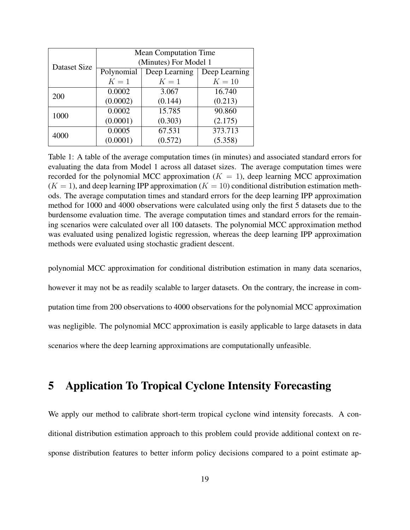<span id="page-18-0"></span>

|              | <b>Mean Computation Time</b> |               |               |  |  |
|--------------|------------------------------|---------------|---------------|--|--|
| Dataset Size | (Minutes) For Model 1        |               |               |  |  |
|              | Polynomial                   | Deep Learning | Deep Learning |  |  |
|              | $K=1$                        | $K=1$         | $K=10$        |  |  |
| 200          | 0.0002                       | 3.067         | 16.740        |  |  |
|              | (0.0002)                     | (0.144)       | (0.213)       |  |  |
| 1000         | 0.0002                       | 15.785        | 90.860        |  |  |
|              | (0.0001)                     | (0.303)       | (2.175)       |  |  |
| 4000         | 0.0005                       | 67.531        | 373.713       |  |  |
|              | (0.0001)                     | (0.572)       | (5.358)       |  |  |

Table 1: A table of the average computation times (in minutes) and associated standard errors for evaluating the data from Model 1 across all dataset sizes. The average computation times were recorded for the polynomial MCC approximation ( $K = 1$ ), deep learning MCC approximation  $(K = 1)$ , and deep learning IPP approximation  $(K = 10)$  conditional distribution estimation methods. The average computation times and standard errors for the deep learning IPP approximation method for 1000 and 4000 observations were calculated using only the first 5 datasets due to the burdensome evaluation time. The average computation times and standard errors for the remaining scenarios were calculated over all 100 datasets. The polynomial MCC approximation method was evaluated using penalized logistic regression, whereas the deep learning IPP approximation methods were evaluated using stochastic gradient descent.

polynomial MCC approximation for conditional distribution estimation in many data scenarios,

however it may not be as readily scalable to larger datasets. On the contrary, the increase in com-

putation time from 200 observations to 4000 observations for the polynomial MCC approximation

was negligible. The polynomial MCC approximation is easily applicable to large datasets in data

<span id="page-18-1"></span>scenarios where the deep learning approximations are computationally unfeasible.

## 5 Application To Tropical Cyclone Intensity Forecasting

We apply our method to calibrate short-term tropical cyclone wind intensity forecasts. A conditional distribution estimation approach to this problem could provide additional context on response distribution features to better inform policy decisions compared to a point estimate ap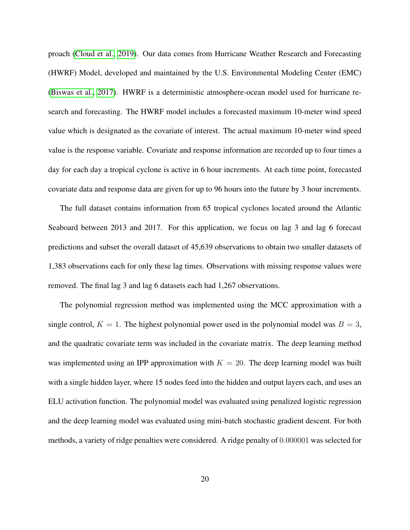proach [\(Cloud et al., 2019\)](#page-37-6). Our data comes from Hurricane Weather Research and Forecasting (HWRF) Model, developed and maintained by the U.S. Environmental Modeling Center (EMC) [\(Biswas et al., 2017\)](#page-37-7). HWRF is a deterministic atmosphere-ocean model used for hurricane research and forecasting. The HWRF model includes a forecasted maximum 10-meter wind speed value which is designated as the covariate of interest. The actual maximum 10-meter wind speed value is the response variable. Covariate and response information are recorded up to four times a day for each day a tropical cyclone is active in 6 hour increments. At each time point, forecasted covariate data and response data are given for up to 96 hours into the future by 3 hour increments.

The full dataset contains information from 65 tropical cyclones located around the Atlantic Seaboard between 2013 and 2017. For this application, we focus on lag 3 and lag 6 forecast predictions and subset the overall dataset of 45,639 observations to obtain two smaller datasets of 1,383 observations each for only these lag times. Observations with missing response values were removed. The final lag 3 and lag 6 datasets each had 1,267 observations.

The polynomial regression method was implemented using the MCC approximation with a single control,  $K = 1$ . The highest polynomial power used in the polynomial model was  $B = 3$ , and the quadratic covariate term was included in the covariate matrix. The deep learning method was implemented using an IPP approximation with  $K = 20$ . The deep learning model was built with a single hidden layer, where 15 nodes feed into the hidden and output layers each, and uses an ELU activation function. The polynomial model was evaluated using penalized logistic regression and the deep learning model was evaluated using mini-batch stochastic gradient descent. For both methods, a variety of ridge penalties were considered. A ridge penalty of 0.000001 was selected for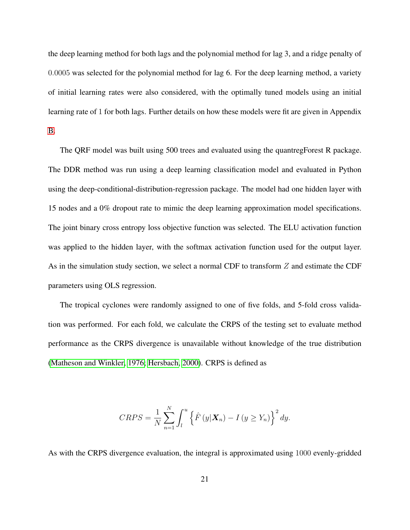the deep learning method for both lags and the polynomial method for lag 3, and a ridge penalty of 0.0005 was selected for the polynomial method for lag 6. For the deep learning method, a variety of initial learning rates were also considered, with the optimally tuned models using an initial learning rate of 1 for both lags. Further details on how these models were fit are given in Appendix [B.](#page-29-0)

The QRF model was built using 500 trees and evaluated using the quantregForest R package. The DDR method was run using a deep learning classification model and evaluated in Python using the deep-conditional-distribution-regression package. The model had one hidden layer with 15 nodes and a 0% dropout rate to mimic the deep learning approximation model specifications. The joint binary cross entropy loss objective function was selected. The ELU activation function was applied to the hidden layer, with the softmax activation function used for the output layer. As in the simulation study section, we select a normal CDF to transform Z and estimate the CDF parameters using OLS regression.

The tropical cyclones were randomly assigned to one of five folds, and 5-fold cross validation was performed. For each fold, we calculate the CRPS of the testing set to evaluate method performance as the CRPS divergence is unavailable without knowledge of the true distribution [\(Matheson and Winkler, 1976;](#page-41-8) [Hersbach, 2000\)](#page-39-8). CRPS is defined as

$$
CRPS = \frac{1}{N} \sum_{n=1}^{N} \int_{l}^{u} \left\{ \hat{F}(y|\boldsymbol{X}_{n}) - I(y \geq Y_{n}) \right\}^{2} dy.
$$

As with the CRPS divergence evaluation, the integral is approximated using 1000 evenly-gridded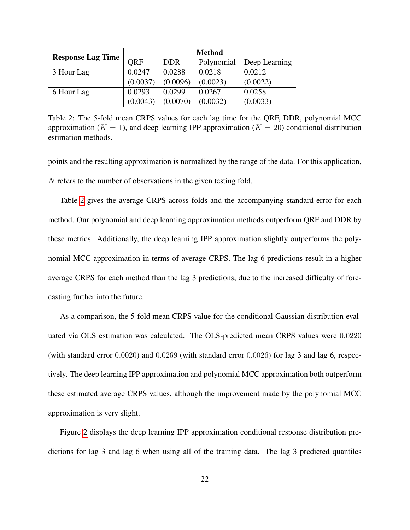<span id="page-21-0"></span>

| <b>Response Lag Time</b> | <b>Method</b> |            |            |               |
|--------------------------|---------------|------------|------------|---------------|
|                          | <b>ORF</b>    | <b>DDR</b> | Polynomial | Deep Learning |
| 3 Hour Lag               | 0.0247        | 0.0288     | 0.0218     | 0.0212        |
|                          | (0.0037)      | (0.0096)   | (0.0023)   | (0.0022)      |
| 6 Hour Lag               | 0.0293        | 0.0299     | 0.0267     | 0.0258        |
|                          | (0.0043)      | (0.0070)   | (0.0032)   | (0.0033)      |

Table 2: The 5-fold mean CRPS values for each lag time for the QRF, DDR, polynomial MCC approximation ( $K = 1$ ), and deep learning IPP approximation ( $K = 20$ ) conditional distribution estimation methods.

points and the resulting approximation is normalized by the range of the data. For this application, N refers to the number of observations in the given testing fold.

Table [2](#page-21-0) gives the average CRPS across folds and the accompanying standard error for each method. Our polynomial and deep learning approximation methods outperform QRF and DDR by these metrics. Additionally, the deep learning IPP approximation slightly outperforms the polynomial MCC approximation in terms of average CRPS. The lag 6 predictions result in a higher average CRPS for each method than the lag 3 predictions, due to the increased difficulty of forecasting further into the future.

As a comparison, the 5-fold mean CRPS value for the conditional Gaussian distribution evaluated via OLS estimation was calculated. The OLS-predicted mean CRPS values were 0.0220 (with standard error 0.0020) and 0.0269 (with standard error 0.0026) for lag 3 and lag 6, respectively. The deep learning IPP approximation and polynomial MCC approximation both outperform these estimated average CRPS values, although the improvement made by the polynomial MCC approximation is very slight.

Figure [2](#page-22-0) displays the deep learning IPP approximation conditional response distribution predictions for lag 3 and lag 6 when using all of the training data. The lag 3 predicted quantiles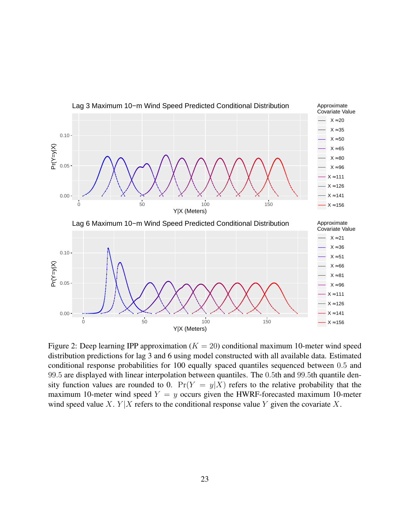<span id="page-22-0"></span>

Figure 2: Deep learning IPP approximation ( $K = 20$ ) conditional maximum 10-meter wind speed distribution predictions for lag 3 and 6 using model constructed with all available data. Estimated conditional response probabilities for 100 equally spaced quantiles sequenced between 0.5 and 99.5 are displayed with linear interpolation between quantiles. The 0.5th and 99.5th quantile density function values are rounded to 0.  $Pr(Y = y|X)$  refers to the relative probability that the maximum 10-meter wind speed  $Y = y$  occurs given the HWRF-forecasted maximum 10-meter wind speed value X.  $Y|X$  refers to the conditional response value Y given the covariate X.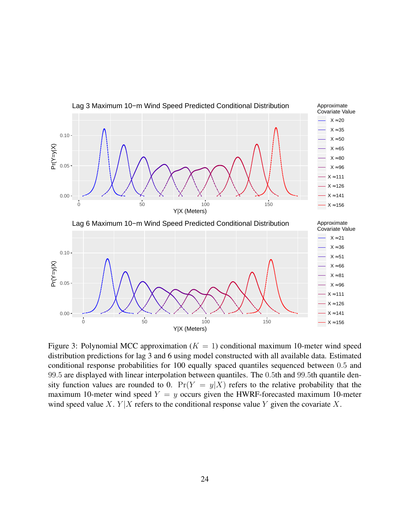<span id="page-23-0"></span>

Figure 3: Polynomial MCC approximation ( $K = 1$ ) conditional maximum 10-meter wind speed distribution predictions for lag 3 and 6 using model constructed with all available data. Estimated conditional response probabilities for 100 equally spaced quantiles sequenced between 0.5 and 99.5 are displayed with linear interpolation between quantiles. The 0.5th and 99.5th quantile density function values are rounded to 0.  $Pr(Y = y|X)$  refers to the relative probability that the maximum 10-meter wind speed  $Y = y$  occurs given the HWRF-forecasted maximum 10-meter wind speed value X.  $Y|X$  refers to the conditional response value Y given the covariate X.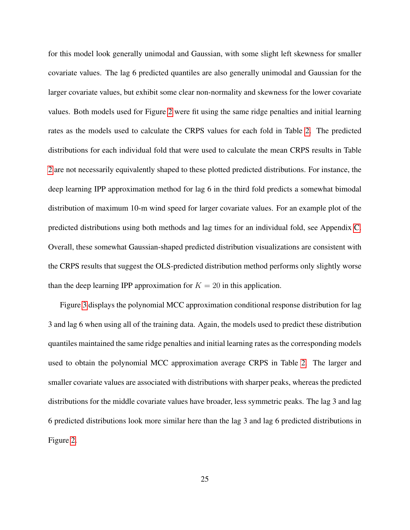for this model look generally unimodal and Gaussian, with some slight left skewness for smaller covariate values. The lag 6 predicted quantiles are also generally unimodal and Gaussian for the larger covariate values, but exhibit some clear non-normality and skewness for the lower covariate values. Both models used for Figure [2](#page-22-0) were fit using the same ridge penalties and initial learning rates as the models used to calculate the CRPS values for each fold in Table [2.](#page-21-0) The predicted distributions for each individual fold that were used to calculate the mean CRPS results in Table [2](#page-21-0) are not necessarily equivalently shaped to these plotted predicted distributions. For instance, the deep learning IPP approximation method for lag 6 in the third fold predicts a somewhat bimodal distribution of maximum 10-m wind speed for larger covariate values. For an example plot of the predicted distributions using both methods and lag times for an individual fold, see Appendix [C.](#page-34-0) Overall, these somewhat Gaussian-shaped predicted distribution visualizations are consistent with the CRPS results that suggest the OLS-predicted distribution method performs only slightly worse than the deep learning IPP approximation for  $K = 20$  in this application.

Figure [3](#page-23-0) displays the polynomial MCC approximation conditional response distribution for lag 3 and lag 6 when using all of the training data. Again, the models used to predict these distribution quantiles maintained the same ridge penalties and initial learning rates as the corresponding models used to obtain the polynomial MCC approximation average CRPS in Table [2.](#page-21-0) The larger and smaller covariate values are associated with distributions with sharper peaks, whereas the predicted distributions for the middle covariate values have broader, less symmetric peaks. The lag 3 and lag 6 predicted distributions look more similar here than the lag 3 and lag 6 predicted distributions in Figure [2.](#page-22-0)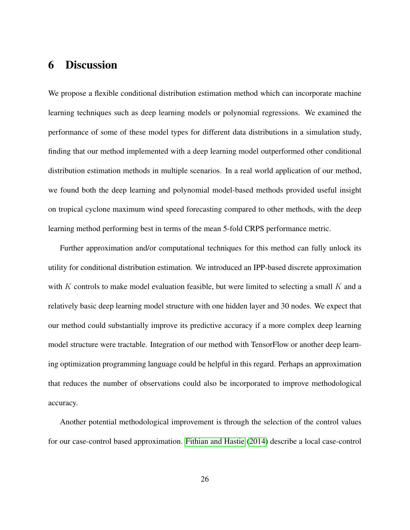# 6 Discussion

We propose a flexible conditional distribution estimation method which can incorporate machine learning techniques such as deep learning models or polynomial regressions. We examined the performance of some of these model types for different data distributions in a simulation study, finding that our method implemented with a deep learning model outperformed other conditional distribution estimation methods in multiple scenarios. In a real world application of our method, we found both the deep learning and polynomial model-based methods provided useful insight on tropical cyclone maximum wind speed forecasting compared to other methods, with the deep learning method performing best in terms of the mean 5-fold CRPS performance metric.

Further approximation and/or computational techniques for this method can fully unlock its utility for conditional distribution estimation. We introduced an IPP-based discrete approximation with K controls to make model evaluation feasible, but were limited to selecting a small  $K$  and a relatively basic deep learning model structure with one hidden layer and 30 nodes. We expect that our method could substantially improve its predictive accuracy if a more complex deep learning model structure were tractable. Integration of our method with TensorFlow or another deep learning optimization programming language could be helpful in this regard. Perhaps an approximation that reduces the number of observations could also be incorporated to improve methodological accuracy.

Another potential methodological improvement is through the selection of the control values for our case-control based approximation. [Fithian and Hastie](#page-38-5) [\(2014\)](#page-38-5) describe a local case-control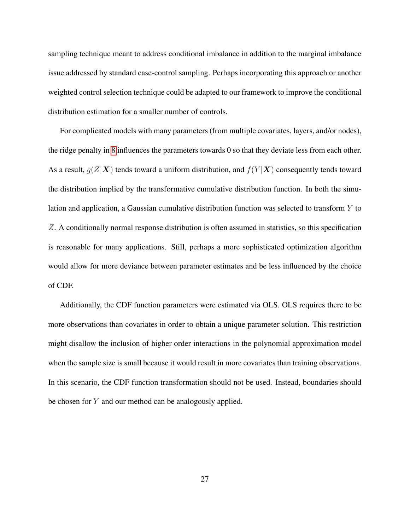sampling technique meant to address conditional imbalance in addition to the marginal imbalance issue addressed by standard case-control sampling. Perhaps incorporating this approach or another weighted control selection technique could be adapted to our framework to improve the conditional distribution estimation for a smaller number of controls.

For complicated models with many parameters (from multiple covariates, layers, and/or nodes), the ridge penalty in [8](#page-10-0) influences the parameters towards 0 so that they deviate less from each other. As a result,  $g(Z|\mathbf{X})$  tends toward a uniform distribution, and  $f(Y|\mathbf{X})$  consequently tends toward the distribution implied by the transformative cumulative distribution function. In both the simulation and application, a Gaussian cumulative distribution function was selected to transform Y to Z. A conditionally normal response distribution is often assumed in statistics, so this specification is reasonable for many applications. Still, perhaps a more sophisticated optimization algorithm would allow for more deviance between parameter estimates and be less influenced by the choice of CDF.

Additionally, the CDF function parameters were estimated via OLS. OLS requires there to be more observations than covariates in order to obtain a unique parameter solution. This restriction might disallow the inclusion of higher order interactions in the polynomial approximation model when the sample size is small because it would result in more covariates than training observations. In this scenario, the CDF function transformation should not be used. Instead, boundaries should be chosen for Y and our method can be analogously applied.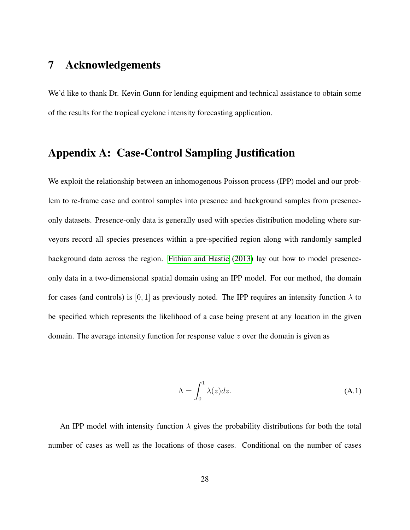### 7 Acknowledgements

<span id="page-27-0"></span>We'd like to thank Dr. Kevin Gunn for lending equipment and technical assistance to obtain some of the results for the tropical cyclone intensity forecasting application.

### Appendix A: Case-Control Sampling Justification

We exploit the relationship between an inhomogenous Poisson process (IPP) model and our problem to re-frame case and control samples into presence and background samples from presenceonly datasets. Presence-only data is generally used with species distribution modeling where surveyors record all species presences within a pre-specified region along with randomly sampled background data across the region. [Fithian and Hastie](#page-38-3) [\(2013\)](#page-38-3) lay out how to model presenceonly data in a two-dimensional spatial domain using an IPP model. For our method, the domain for cases (and controls) is [0, 1] as previously noted. The IPP requires an intensity function  $\lambda$  to be specified which represents the likelihood of a case being present at any location in the given domain. The average intensity function for response value  $z$  over the domain is given as

$$
\Lambda = \int_0^1 \lambda(z) dz.
$$
\n(A.1)

An IPP model with intensity function  $\lambda$  gives the probability distributions for both the total number of cases as well as the locations of those cases. Conditional on the number of cases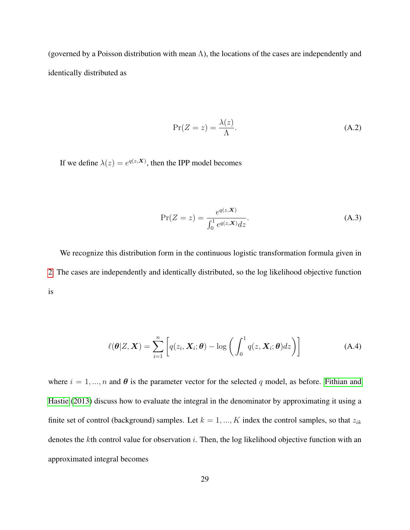(governed by a Poisson distribution with mean  $\Lambda$ ), the locations of the cases are independently and identically distributed as

$$
\Pr(Z = z) = \frac{\lambda(z)}{\Lambda}.\tag{A.2}
$$

If we define  $\lambda(z) = e^{q(z,X)}$ , then the IPP model becomes

$$
\Pr(Z = z) = \frac{e^{q(z, \mathbf{X})}}{\int_0^1 e^{q(z, \mathbf{X})} dz}.
$$
\n(A.3)

We recognize this distribution form in the continuous logistic transformation formula given in [2.](#page-6-0) The cases are independently and identically distributed, so the log likelihood objective function is

$$
\ell(\boldsymbol{\theta}|Z,\boldsymbol{X}) = \sum_{i=1}^{n} \left[ q(z_i,\boldsymbol{X}_i;\boldsymbol{\theta}) - \log \left( \int_0^1 q(z,\boldsymbol{X}_i;\boldsymbol{\theta}) dz \right) \right]
$$
(A.4)

where  $i = 1, ..., n$  and  $\theta$  is the parameter vector for the selected q model, as before. [Fithian and](#page-38-3) [Hastie](#page-38-3) [\(2013\)](#page-38-3) discuss how to evaluate the integral in the denominator by approximating it using a finite set of control (background) samples. Let  $k = 1, ..., K$  index the control samples, so that  $z_{ik}$ denotes the kth control value for observation  $i$ . Then, the log likelihood objective function with an approximated integral becomes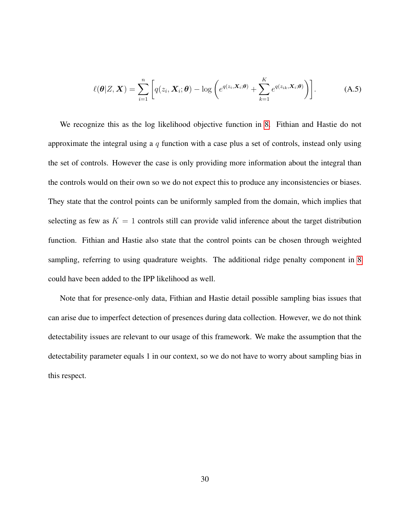$$
\ell(\boldsymbol{\theta}|Z,\boldsymbol{X}) = \sum_{i=1}^{n} \bigg[ q(z_i,\boldsymbol{X}_i;\boldsymbol{\theta}) - \log \bigg( e^{q(z_i,\boldsymbol{X}_i;\boldsymbol{\theta})} + \sum_{k=1}^{K} e^{q(z_{ik},\boldsymbol{X}_i;\boldsymbol{\theta})} \bigg) \bigg].
$$
 (A.5)

We recognize this as the log likelihood objective function in [8.](#page-10-0) Fithian and Hastie do not approximate the integral using a  $q$  function with a case plus a set of controls, instead only using the set of controls. However the case is only providing more information about the integral than the controls would on their own so we do not expect this to produce any inconsistencies or biases. They state that the control points can be uniformly sampled from the domain, which implies that selecting as few as  $K = 1$  controls still can provide valid inference about the target distribution function. Fithian and Hastie also state that the control points can be chosen through weighted sampling, referring to using quadrature weights. The additional ridge penalty component in [8](#page-10-0) could have been added to the IPP likelihood as well.

<span id="page-29-0"></span>Note that for presence-only data, Fithian and Hastie detail possible sampling bias issues that can arise due to imperfect detection of presences during data collection. However, we do not think detectability issues are relevant to our usage of this framework. We make the assumption that the detectability parameter equals 1 in our context, so we do not have to worry about sampling bias in this respect.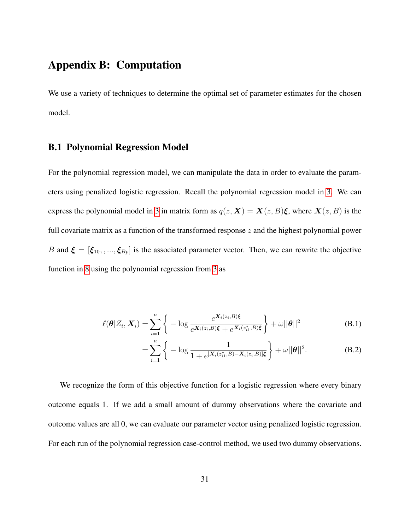### Appendix B: Computation

We use a variety of techniques to determine the optimal set of parameter estimates for the chosen model.

#### B.1 Polynomial Regression Model

For the polynomial regression model, we can manipulate the data in order to evaluate the parameters using penalized logistic regression. Recall the polynomial regression model in [3.](#page-7-0) We can express the polynomial model in [3](#page-7-0) in matrix form as  $q(z, X) = X(z, B)\xi$ , where  $X(z, B)$  is the full covariate matrix as a function of the transformed response  $z$  and the highest polynomial power B and  $\xi = [\xi_{10}, \dots, \xi_{Bp}]$  is the associated parameter vector. Then, we can rewrite the objective function in [8](#page-10-0) using the polynomial regression from [3](#page-7-0) as

$$
\ell(\boldsymbol{\theta}|Z_i, \boldsymbol{X}_i) = \sum_{i=1}^n \left\{ -\log \frac{e^{\boldsymbol{X}_i(z_i, B)\boldsymbol{\xi}}}{e^{\boldsymbol{X}_i(z_i, B)\boldsymbol{\xi}} + e^{\boldsymbol{X}_i(z_{i1}^*, B)\boldsymbol{\xi}}} \right\} + \omega ||\boldsymbol{\theta}||^2
$$
(B.1)

<span id="page-30-0"></span>
$$
= \sum_{i=1}^{n} \left\{ -\log \frac{1}{1 + e^{[{\bf X}_i(z_{i1}^*,B) - {\bf X}_i(z_i,B)]\xi}} \right\} + \omega ||\boldsymbol{\theta}||^2.
$$
 (B.2)

We recognize the form of this objective function for a logistic regression where every binary outcome equals 1. If we add a small amount of dummy observations where the covariate and outcome values are all 0, we can evaluate our parameter vector using penalized logistic regression. For each run of the polynomial regression case-control method, we used two dummy observations.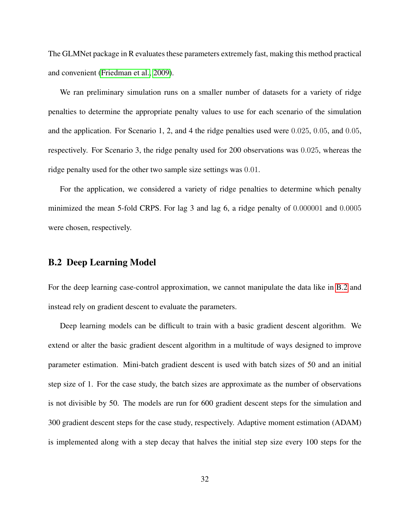The GLMNet package in R evaluates these parameters extremely fast, making this method practical and convenient [\(Friedman et al., 2009\)](#page-38-6).

We ran preliminary simulation runs on a smaller number of datasets for a variety of ridge penalties to determine the appropriate penalty values to use for each scenario of the simulation and the application. For Scenario 1, 2, and 4 the ridge penalties used were 0.025, 0.05, and 0.05, respectively. For Scenario 3, the ridge penalty used for 200 observations was 0.025, whereas the ridge penalty used for the other two sample size settings was 0.01.

For the application, we considered a variety of ridge penalties to determine which penalty minimized the mean 5-fold CRPS. For lag 3 and lag 6, a ridge penalty of 0.000001 and 0.0005 were chosen, respectively.

#### B.2 Deep Learning Model

For the deep learning case-control approximation, we cannot manipulate the data like in [B.2](#page-30-0) and instead rely on gradient descent to evaluate the parameters.

Deep learning models can be difficult to train with a basic gradient descent algorithm. We extend or alter the basic gradient descent algorithm in a multitude of ways designed to improve parameter estimation. Mini-batch gradient descent is used with batch sizes of 50 and an initial step size of 1. For the case study, the batch sizes are approximate as the number of observations is not divisible by 50. The models are run for 600 gradient descent steps for the simulation and 300 gradient descent steps for the case study, respectively. Adaptive moment estimation (ADAM) is implemented along with a step decay that halves the initial step size every 100 steps for the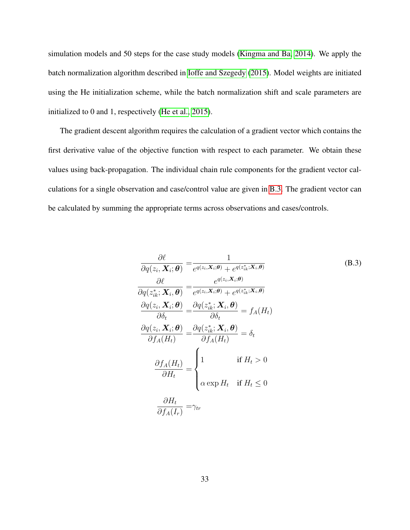simulation models and 50 steps for the case study models [\(Kingma and Ba, 2014\)](#page-40-6). We apply the batch normalization algorithm described in [Ioffe and Szegedy](#page-40-7) [\(2015\)](#page-40-7). Model weights are initiated using the He initialization scheme, while the batch normalization shift and scale parameters are initialized to 0 and 1, respectively [\(He et al., 2015\)](#page-39-9).

The gradient descent algorithm requires the calculation of a gradient vector which contains the first derivative value of the objective function with respect to each parameter. We obtain these values using back-propagation. The individual chain rule components for the gradient vector calculations for a single observation and case/control value are given in [B.3.](#page-32-0) The gradient vector can be calculated by summing the appropriate terms across observations and cases/controls.

<span id="page-32-0"></span>
$$
\frac{\partial \ell}{\partial q(z_i, \mathbf{X}_i; \theta)} = \frac{1}{e^{q(z_i, \mathbf{X}_i; \theta)} + e^{q(z_{ik}^*, \mathbf{X}_i; \theta)}}
$$
(B.3)  

$$
\frac{\partial \ell}{\partial q(z_{ik}^*, \mathbf{X}_i, \theta)} = \frac{e^{q(z_i, \mathbf{X}_i; \theta)}}{e^{q(z_i, \mathbf{X}_i; \theta)} + e^{q(z_{ik}^*, \mathbf{X}_i; \theta)}}
$$

$$
\frac{\partial q(z_i, \mathbf{X}_i; \theta)}{\partial \delta_t} = \frac{\partial q(z_{ik}^*, \mathbf{X}_i, \theta)}{\partial \delta_t} = f_A(H_t)
$$

$$
\frac{\partial q(z_i, \mathbf{X}_i; \theta)}{\partial f_A(H_t)} = \frac{\partial q(z_{ik}^*, \mathbf{X}_i, \theta)}{\partial f_A(H_t)} = \delta_t
$$

$$
\frac{\partial f_A(H_t)}{\partial H_t} = \begin{cases} 1 & \text{if } H_t > 0 \\ \alpha \exp H_t & \text{if } H_t \le 0 \end{cases}
$$

$$
\frac{\partial H_t}{\partial f_A(I_r)} = \gamma_{tr}
$$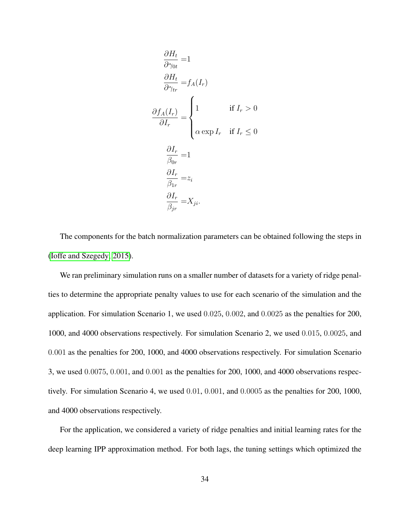$$
\frac{\partial H_t}{\partial \gamma_{0t}} = 1
$$
\n
$$
\frac{\partial H_t}{\partial \gamma_{tr}} = f_A(I_r)
$$
\n
$$
\frac{\partial f_A(I_r)}{\partial I_r} = \begin{cases}\n1 & \text{if } I_r > 0 \\
\alpha \exp I_r & \text{if } I_r \le 0\n\end{cases}
$$
\n
$$
\frac{\partial I_r}{\partial \theta_r} = 1
$$
\n
$$
\frac{\partial I_r}{\beta_{1r}} = z_i
$$
\n
$$
\frac{\partial I_r}{\beta_{jr}} = X_{ji}.
$$

The components for the batch normalization parameters can be obtained following the steps in [\(Ioffe and Szegedy, 2015\)](#page-40-7).

We ran preliminary simulation runs on a smaller number of datasets for a variety of ridge penalties to determine the appropriate penalty values to use for each scenario of the simulation and the application. For simulation Scenario 1, we used 0.025, 0.002, and 0.0025 as the penalties for 200, 1000, and 4000 observations respectively. For simulation Scenario 2, we used 0.015, 0.0025, and 0.001 as the penalties for 200, 1000, and 4000 observations respectively. For simulation Scenario 3, we used 0.0075, 0.001, and 0.001 as the penalties for 200, 1000, and 4000 observations respectively. For simulation Scenario 4, we used 0.01, 0.001, and 0.0005 as the penalties for 200, 1000, and 4000 observations respectively.

For the application, we considered a variety of ridge penalties and initial learning rates for the deep learning IPP approximation method. For both lags, the tuning settings which optimized the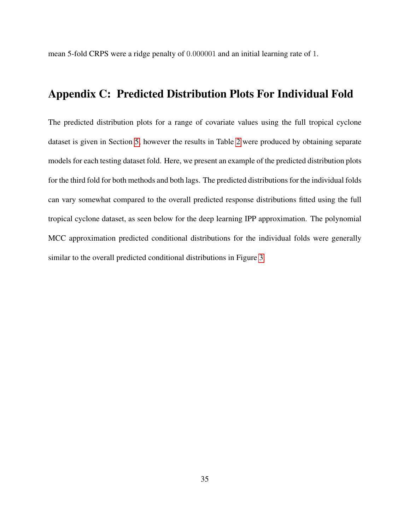<span id="page-34-0"></span>mean 5-fold CRPS were a ridge penalty of 0.000001 and an initial learning rate of 1.

# Appendix C: Predicted Distribution Plots For Individual Fold

The predicted distribution plots for a range of covariate values using the full tropical cyclone dataset is given in Section [5,](#page-18-1) however the results in Table [2](#page-21-0) were produced by obtaining separate models for each testing dataset fold. Here, we present an example of the predicted distribution plots for the third fold for both methods and both lags. The predicted distributions for the individual folds can vary somewhat compared to the overall predicted response distributions fitted using the full tropical cyclone dataset, as seen below for the deep learning IPP approximation. The polynomial MCC approximation predicted conditional distributions for the individual folds were generally similar to the overall predicted conditional distributions in Figure [3.](#page-23-0)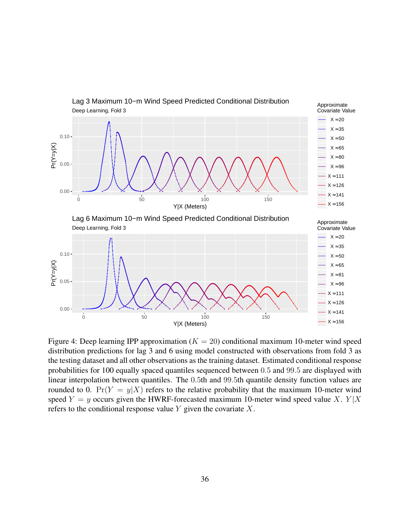

Figure 4: Deep learning IPP approximation ( $K = 20$ ) conditional maximum 10-meter wind speed distribution predictions for lag 3 and 6 using model constructed with observations from fold 3 as the testing dataset and all other observations as the training dataset. Estimated conditional response probabilities for 100 equally spaced quantiles sequenced between 0.5 and 99.5 are displayed with linear interpolation between quantiles. The 0.5th and 99.5th quantile density function values are rounded to 0.  $Pr(Y = y|X)$  refers to the relative probability that the maximum 10-meter wind speed  $Y = y$  occurs given the HWRF-forecasted maximum 10-meter wind speed value X.  $Y|X$ refers to the conditional response value  $Y$  given the covariate  $X$ .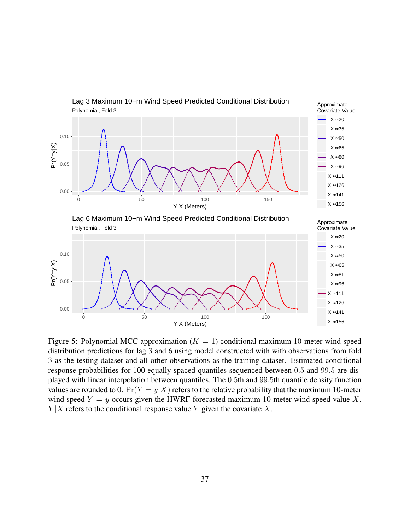

Figure 5: Polynomial MCC approximation ( $K = 1$ ) conditional maximum 10-meter wind speed distribution predictions for lag 3 and 6 using model constructed with with observations from fold 3 as the testing dataset and all other observations as the training dataset. Estimated conditional response probabilities for 100 equally spaced quantiles sequenced between 0.5 and 99.5 are displayed with linear interpolation between quantiles. The 0.5th and 99.5th quantile density function values are rounded to 0.  $Pr(Y = y|X)$  refers to the relative probability that the maximum 10-meter wind speed  $Y = y$  occurs given the HWRF-forecasted maximum 10-meter wind speed value X.  $Y|X$  refers to the conditional response value Y given the covariate X.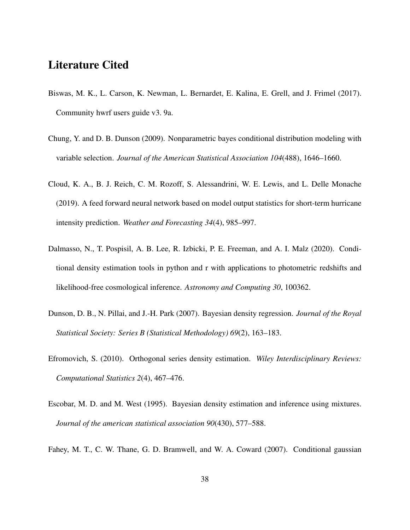### Literature Cited

- <span id="page-37-7"></span>Biswas, M. K., L. Carson, K. Newman, L. Bernardet, E. Kalina, E. Grell, and J. Frimel (2017). Community hwrf users guide v3. 9a.
- <span id="page-37-3"></span>Chung, Y. and D. B. Dunson (2009). Nonparametric bayes conditional distribution modeling with variable selection. *Journal of the American Statistical Association 104*(488), 1646–1660.
- <span id="page-37-6"></span>Cloud, K. A., B. J. Reich, C. M. Rozoff, S. Alessandrini, W. E. Lewis, and L. Delle Monache (2019). A feed forward neural network based on model output statistics for short-term hurricane intensity prediction. *Weather and Forecasting 34*(4), 985–997.
- <span id="page-37-5"></span>Dalmasso, N., T. Pospisil, A. B. Lee, R. Izbicki, P. E. Freeman, and A. I. Malz (2020). Conditional density estimation tools in python and r with applications to photometric redshifts and likelihood-free cosmological inference. *Astronomy and Computing 30*, 100362.
- <span id="page-37-2"></span>Dunson, D. B., N. Pillai, and J.-H. Park (2007). Bayesian density regression. *Journal of the Royal Statistical Society: Series B (Statistical Methodology) 69*(2), 163–183.
- <span id="page-37-4"></span>Efromovich, S. (2010). Orthogonal series density estimation. *Wiley Interdisciplinary Reviews: Computational Statistics 2*(4), 467–476.
- <span id="page-37-0"></span>Escobar, M. D. and M. West (1995). Bayesian density estimation and inference using mixtures. *Journal of the american statistical association 90*(430), 577–588.
- <span id="page-37-1"></span>Fahey, M. T., C. W. Thane, G. D. Bramwell, and W. A. Coward (2007). Conditional gaussian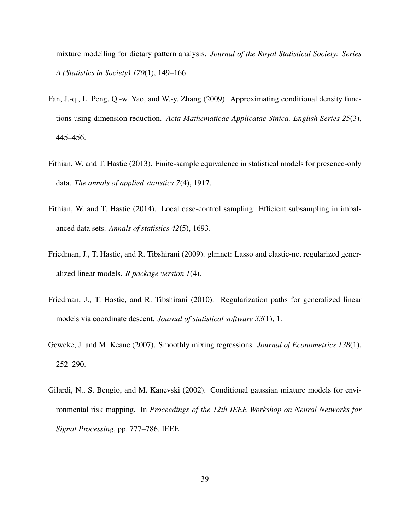mixture modelling for dietary pattern analysis. *Journal of the Royal Statistical Society: Series A (Statistics in Society) 170*(1), 149–166.

- <span id="page-38-0"></span>Fan, J.-q., L. Peng, Q.-w. Yao, and W.-y. Zhang (2009). Approximating conditional density functions using dimension reduction. *Acta Mathematicae Applicatae Sinica, English Series 25*(3), 445–456.
- <span id="page-38-3"></span>Fithian, W. and T. Hastie (2013). Finite-sample equivalence in statistical models for presence-only data. *The annals of applied statistics 7*(4), 1917.
- <span id="page-38-5"></span>Fithian, W. and T. Hastie (2014). Local case-control sampling: Efficient subsampling in imbalanced data sets. *Annals of statistics 42*(5), 1693.
- <span id="page-38-6"></span>Friedman, J., T. Hastie, and R. Tibshirani (2009). glmnet: Lasso and elastic-net regularized generalized linear models. *R package version 1*(4).
- <span id="page-38-4"></span>Friedman, J., T. Hastie, and R. Tibshirani (2010). Regularization paths for generalized linear models via coordinate descent. *Journal of statistical software 33*(1), 1.
- <span id="page-38-2"></span>Geweke, J. and M. Keane (2007). Smoothly mixing regressions. *Journal of Econometrics 138*(1), 252–290.
- <span id="page-38-1"></span>Gilardi, N., S. Bengio, and M. Kanevski (2002). Conditional gaussian mixture models for environmental risk mapping. In *Proceedings of the 12th IEEE Workshop on Neural Networks for Signal Processing*, pp. 777–786. IEEE.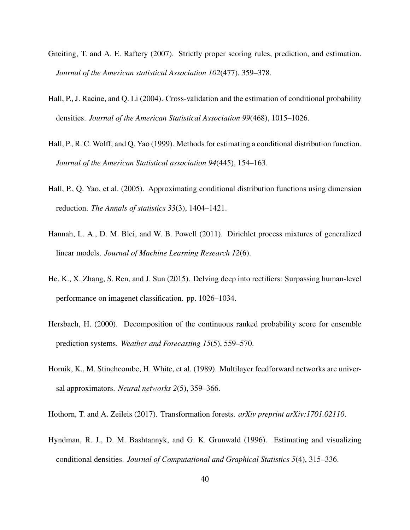- <span id="page-39-7"></span>Gneiting, T. and A. E. Raftery (2007). Strictly proper scoring rules, prediction, and estimation. *Journal of the American statistical Association 102*(477), 359–378.
- <span id="page-39-2"></span>Hall, P., J. Racine, and Q. Li (2004). Cross-validation and the estimation of conditional probability densities. *Journal of the American Statistical Association 99*(468), 1015–1026.
- <span id="page-39-1"></span>Hall, P., R. C. Wolff, and Q. Yao (1999). Methods for estimating a conditional distribution function. *Journal of the American Statistical association 94*(445), 154–163.
- <span id="page-39-3"></span>Hall, P., Q. Yao, et al. (2005). Approximating conditional distribution functions using dimension reduction. *The Annals of statistics 33*(3), 1404–1421.
- <span id="page-39-4"></span>Hannah, L. A., D. M. Blei, and W. B. Powell (2011). Dirichlet process mixtures of generalized linear models. *Journal of Machine Learning Research 12*(6).
- <span id="page-39-9"></span>He, K., X. Zhang, S. Ren, and J. Sun (2015). Delving deep into rectifiers: Surpassing human-level performance on imagenet classification. pp. 1026–1034.
- <span id="page-39-8"></span>Hersbach, H. (2000). Decomposition of the continuous ranked probability score for ensemble prediction systems. *Weather and Forecasting 15*(5), 559–570.
- <span id="page-39-6"></span>Hornik, K., M. Stinchcombe, H. White, et al. (1989). Multilayer feedforward networks are universal approximators. *Neural networks 2*(5), 359–366.
- <span id="page-39-5"></span><span id="page-39-0"></span>Hothorn, T. and A. Zeileis (2017). Transformation forests. *arXiv preprint arXiv:1701.02110*.
- Hyndman, R. J., D. M. Bashtannyk, and G. K. Grunwald (1996). Estimating and visualizing conditional densities. *Journal of Computational and Graphical Statistics 5*(4), 315–336.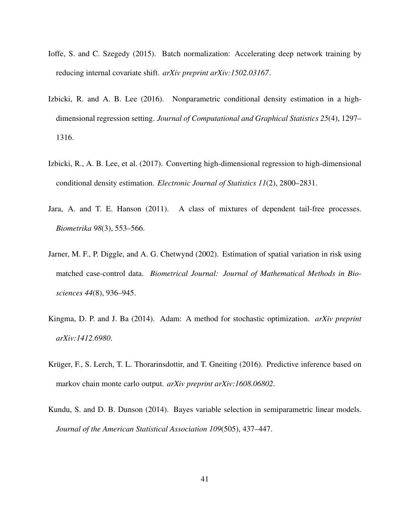- <span id="page-40-7"></span>Ioffe, S. and C. Szegedy (2015). Batch normalization: Accelerating deep network training by reducing internal covariate shift. *arXiv preprint arXiv:1502.03167*.
- <span id="page-40-2"></span>Izbicki, R. and A. B. Lee (2016). Nonparametric conditional density estimation in a highdimensional regression setting. *Journal of Computational and Graphical Statistics 25*(4), 1297– 1316.
- <span id="page-40-3"></span>Izbicki, R., A. B. Lee, et al. (2017). Converting high-dimensional regression to high-dimensional conditional density estimation. *Electronic Journal of Statistics 11*(2), 2800–2831.
- <span id="page-40-0"></span>Jara, A. and T. E. Hanson (2011). A class of mixtures of dependent tail-free processes. *Biometrika 98*(3), 553–566.
- <span id="page-40-4"></span>Jarner, M. F., P. Diggle, and A. G. Chetwynd (2002). Estimation of spatial variation in risk using matched case-control data. *Biometrical Journal: Journal of Mathematical Methods in Biosciences 44*(8), 936–945.
- <span id="page-40-6"></span>Kingma, D. P. and J. Ba (2014). Adam: A method for stochastic optimization. *arXiv preprint arXiv:1412.6980*.
- <span id="page-40-5"></span>Krüger, F., S. Lerch, T. L. Thorarinsdottir, and T. Gneiting (2016). Predictive inference based on markov chain monte carlo output. *arXiv preprint arXiv:1608.06802*.
- <span id="page-40-1"></span>Kundu, S. and D. B. Dunson (2014). Bayes variable selection in semiparametric linear models. *Journal of the American Statistical Association 109*(505), 437–447.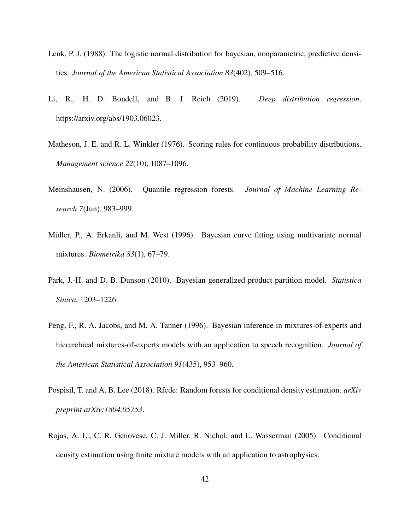- <span id="page-41-7"></span>Lenk, P. J. (1988). The logistic normal distribution for bayesian, nonparametric, predictive densities. *Journal of the American Statistical Association 83*(402), 509–516.
- <span id="page-41-6"></span>Li, R., H. D. Bondell, and B. J. Reich (2019). *Deep distribution regression*. https://arxiv.org/abs/1903.06023.
- <span id="page-41-8"></span>Matheson, J. E. and R. L. Winkler (1976). Scoring rules for continuous probability distributions. *Management science 22*(10), 1087–1096.
- <span id="page-41-4"></span>Meinshausen, N. (2006). Quantile regression forests. *Journal of Machine Learning Research 7*(Jun), 983–999.
- <span id="page-41-2"></span>Müller, P., A. Erkanli, and M. West (1996). Bayesian curve fitting using multivariate normal mixtures. *Biometrika 83*(1), 67–79.
- <span id="page-41-3"></span>Park, J.-H. and D. B. Dunson (2010). Bayesian generalized product partition model. *Statistica Sinica*, 1203–1226.
- <span id="page-41-1"></span>Peng, F., R. A. Jacobs, and M. A. Tanner (1996). Bayesian inference in mixtures-of-experts and hierarchical mixtures-of-experts models with an application to speech recognition. *Journal of the American Statistical Association 91*(435), 953–960.
- <span id="page-41-5"></span>Pospisil, T. and A. B. Lee (2018). Rfcde: Random forests for conditional density estimation. *arXiv preprint arXiv:1804.05753*.
- <span id="page-41-0"></span>Rojas, A. L., C. R. Genovese, C. J. Miller, R. Nichol, and L. Wasserman (2005). Conditional density estimation using finite mixture models with an application to astrophysics.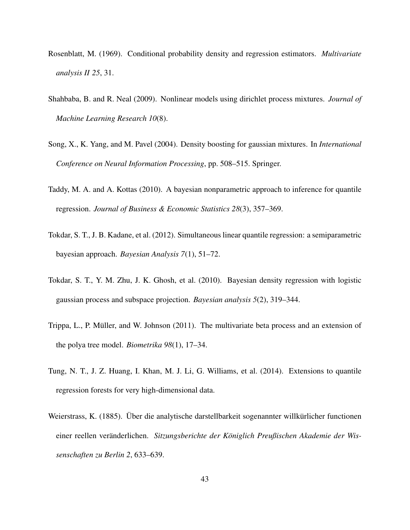- <span id="page-42-0"></span>Rosenblatt, M. (1969). Conditional probability density and regression estimators. *Multivariate analysis II 25*, 31.
- <span id="page-42-4"></span>Shahbaba, B. and R. Neal (2009). Nonlinear models using dirichlet process mixtures. *Journal of Machine Learning Research 10*(8).
- <span id="page-42-1"></span>Song, X., K. Yang, and M. Pavel (2004). Density boosting for gaussian mixtures. In *International Conference on Neural Information Processing*, pp. 508–515. Springer.
- <span id="page-42-5"></span>Taddy, M. A. and A. Kottas (2010). A bayesian nonparametric approach to inference for quantile regression. *Journal of Business & Economic Statistics 28*(3), 357–369.
- <span id="page-42-7"></span>Tokdar, S. T., J. B. Kadane, et al. (2012). Simultaneous linear quantile regression: a semiparametric bayesian approach. *Bayesian Analysis 7*(1), 51–72.
- <span id="page-42-3"></span>Tokdar, S. T., Y. M. Zhu, J. K. Ghosh, et al. (2010). Bayesian density regression with logistic gaussian process and subspace projection. *Bayesian analysis 5*(2), 319–344.
- <span id="page-42-2"></span>Trippa, L., P. Müller, and W. Johnson (2011). The multivariate beta process and an extension of the polya tree model. *Biometrika 98*(1), 17–34.
- <span id="page-42-6"></span>Tung, N. T., J. Z. Huang, I. Khan, M. J. Li, G. Williams, et al. (2014). Extensions to quantile regression forests for very high-dimensional data.
- <span id="page-42-8"></span>Weierstrass, K. (1885). Über die analytische darstellbarkeit sogenannter willkürlicher functionen einer reellen veränderlichen. Sitzungsberichte der Königlich Preußischen Akademie der Wis*senschaften zu Berlin 2*, 633–639.